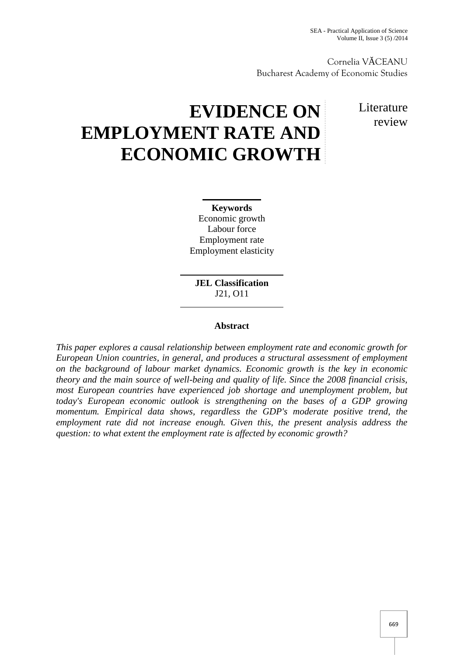Cornelia V CEANU Bucharest Academy of Economic Studies

# **EVIDENCE ON EMPLOYMENT RATE AND ECONOMIC GROWTH**

**Literature** review

**Keywords** Economic growth Labour force Employment rate Employment elasticity

**JEL Classification** J21, O11

## **Abstract**

*This paper explores a causal relationship between employment rate and economic growth for European Union countries, in general, and produces a structural assessment of employment on the background of labour market dynamics. Economic growth is the key in economic theory and the main source of well-being and quality of life. Since the 2008 financial crisis, most European countries have experienced job shortage and unemployment problem, but today's European economic outlook is strengthening on the bases of a GDP growing momentum. Empirical data shows, regardless the GDP's moderate positive trend, the employment rate did not increase enough. Given this, the present analysis address the question: to what extent the employment rate is affected by economic growth?*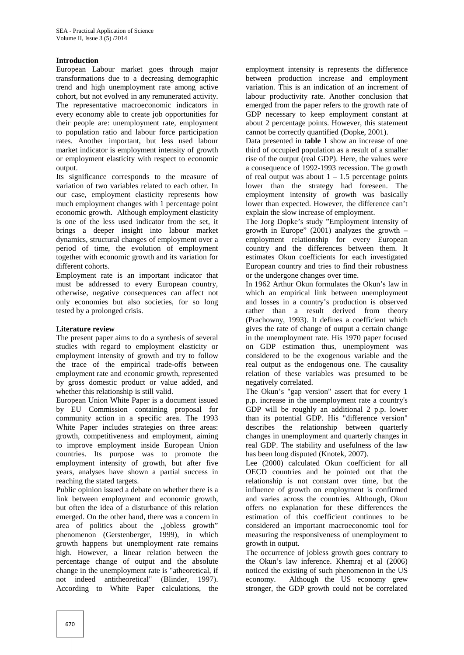## **Introduction**

European Labour market goes through major transformations due to a decreasing demographic trend and high unemployment rate among active cohort, but not evolved in any remunerated activity. The representative macroeconomic indicators in every economy able to create job opportunities for their people are: unemployment rate, employment to population ratio and labour force participation rates. Another important, but less used labour market indicator is employment intensity of growth or employment elasticity with respect to economic output.

Its significance corresponds to the measure of variation of two variables related to each other. In our case, employment elasticity represents how much employment changes with 1 percentage point economic growth. Although employment elasticity is one of the less used indicator from the set, it brings a deeper insight into labour market dynamics, structural changes of employment over a period of time, the evolution of employment together with economic growth and its variation for different cohorts.

Employment rate is an important indicator that must be addressed to every European country, otherwise, negative consequences can affect not only economies but also societies, for so long tested by a prolonged crisis.

#### **Literature review**

The present paper aims to do a synthesis of several studies with regard to employment elasticity or employment intensity of growth and try to follow the trace of the empirical trade-offs between employment rate and economic growth, represented by gross domestic product or value added, and whether this relationship is still valid.

European Union White Paper is a document issued by EU Commission containing proposal for community action in a specific area. The 1993 White Paper includes strategies on three areas: growth, competitiveness and employment, aiming to improve employment inside European Union countries. Its purpose was to promote the employment intensity of growth, but after five years, analyses have shown a partial success in reaching the stated targets.

Public opinion issued a debate on whether there is a link between employment and economic growth, but often the idea of a disturbance of this relation emerged. On the other hand, there was a concern in area of politics about the "jobless growth" phenomenon (Gerstenberger, 1999), in which growth happens but unemployment rate remains high. However, a linear relation between the percentage change of output and the absolute change in the unemployment rate is "atheoretical, if not indeed antitheoretical" (Blinder, 1997). According to White Paper calculations, the

employment intensity is represents the difference between production increase and employment variation. This is an indication of an increment of labour productivity rate. Another conclusion that emerged from the paper refers to the growth rate of GDP necessary to keep employment constant at about 2 percentage points. However, this statement cannot be correctly quantified (Dopke, 2001).

Data presented in **table 1** show an increase of one third of occupied population as a result of a smaller rise of the output (real GDP). Here, the values were a consequence of 1992-1993 recession. The growth of real output was about  $1 - 1.5$  percentage points lower than the strategy had foreseen. The employment intensity of growth was basically lower than expected. However, the difference can't explain the slow increase of employment.

The Jorg Dopke's study "Employment intensity of growth in Europe"  $(2001)$  analyzes the growth – employment relationship for every European country and the differences between them. It estimates Okun coefficients for each investigated European country and tries to find their robustness or the undergone changes over time.

In 1962 Arthur Okun formulates the Okun's law in which an empirical link between unemployment and losses in a country's production is observed rather than a result derived from theory (Prachowny, 1993). It defines a coefficient which gives the rate of change of output a certain change in the unemployment rate. His 1970 paper focused on GDP estimation thus, unemployment was considered to be the exogenous variable and the real output as the endogenous one. The causality relation of these variables was presumed to be negatively correlated.

The Okun's "gap version" assert that for every 1 p.p. increase in the unemployment rate a country's GDP will be roughly an additional 2 p.p. lower than its potential GDP. His "difference version" describes the relationship between quarterly changes in unemployment and quarterly changes in real GDP. The stability and usefulness of the law has been long disputed (Knotek, 2007).

Lee (2000) calculated Okun coefficient for all OECD countries and he pointed out that the relationship is not constant over time, but the influence of growth on employment is confirmed and varies across the countries. Although, Okun offers no explanation for these differences the estimation of this coefficient continues to be considered an important macroeconomic tool for measuring the responsiveness of unemployment to growth in output.

The occurrence of jobless growth goes contrary to the Okun's law inference. Khemraj et al (2006) noticed the existing of such phenomenon in the US economy. Although the US economy grew stronger, the GDP growth could not be correlated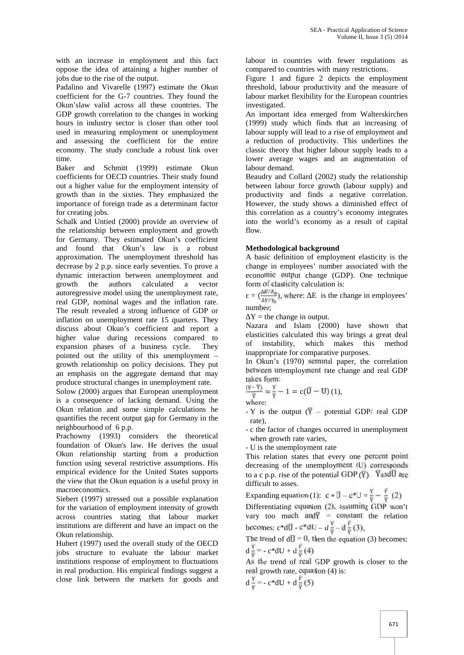with an increase in employment and this fact oppose the idea of attaining a higher number of jobs due to the rise of the output.

Padalino and Vivarelle (1997) estimate the Okun coefficient for the G-7 countries. They found the Okun'slaw valid across all these countries. The GDP growth correlation to the changes in working hours in industry sector is closer than other tool used in measuring employment or unemployment and assessing the coefficient for the entire economy. The study conclude a robust link over time.

Baker and Schmitt (1999) estimate Okun coefficients for OECD countries. Their study found out a higher value for the employment intensity of growth than in the sixties. They emphasized the importance of foreign trade as a determinant factor for creating jobs.

Schalk and Untied (2000) provide an overview of the relationship between employment and growth for Germany. They estimated Okun's coefficient and found that Okun's law is a robust approximation. The unemployment threshold has decrease by 2 p.p. since early seventies. To prove a dynamic interaction between unemployment and growth the authors calculated a vector autoregressive model using the unemployment rate, real GDP, nominal wages and the inflation rate. The result revealed a strong influence of GDP or inflation on unemployment rate 15 quarters. They discuss about Okun's coefficient and report a higher value during recessions compared to the compared to the compared of the contract of the contract of the contract of the contract of the contract of the contract of the contract of the contract of the contract of the expansion phases of a business cycle. They pointed out the utility of this unemployment – growth relationship on policy decisions. They put an emphasis on the aggregate demand that may produce structural changes in unemployment rate.

Solow (2000) argues that European unemployment is a consequence of lacking demand. Using the Okun relation and some simple calculations he quantifies the recent output gap for Germany in the neighbourhood of 6 p.p.

Prachowny (1993) considers the theoretical foundation of Okun's law. He derives the usual Okun relationship starting from a production function using several restrictive assumptions. His empirical evidence for the United States supports the view that the Okun equation is a useful proxy in macroeconomics.

Siebert (1997) stressed out a possible explanation for the variation of employment intensity of growth across countries stating that labour market institutions are different and have an impact on the Okun relationship.

Hubert (1997) used the overall study of the OECD jobs structure to evaluate the labour market institutions response of employment to fluctuations in real production. His empirical findings suggest a close link between the markets for goods and

labour in countries with fewer regulations as compared to countries with many restrictions.

Figure 1 and figure 2 depicts the employment threshold, labour productivity and the measure of labour market flexibility for the European countries investigated.

An important idea emerged from Walterskirchen (1999) study which finds that an increasing of labour supply will lead to a rise of employment and a reduction of productivity. This underlines the classic theory that higher labour supply leads to a lower average wages and an augmentation of labour demand.

Beaudry and Collard (2002) study the relationship between labour force growth (labour supply) and productivity and finds a negative correlation. However, the study shows a diminished effect of this correlation as a country's economy integrates into the world's economy as a result of capital flow.

## **Methodological background**

A basic definition of employment elasticity is the change in employees' number associated with the economic output change (GDP). One technique form of elasticity calculation is:

 $=\left(\frac{\Delta E/E_0}{\Delta Y/Y_0}\right)$ , where: E is the change in employees' number;

 $Y =$  the change in output.

Nazara and Islam (2000) have shown that elasticities calculated this way brings a great deal instability, which makes this method inappropriate for comparative purposes.

In Okun's (1970) seminal paper, the correlation between unemployment rate change and real GDP takes form:

$$
\frac{(Y-\overline{Y})}{\overline{Y}}=\frac{Y}{\overline{Y}}-1=c(\overline{U}-U)(1),
$$

where:

- Y is the output  $(\overline{Y}$  – potential GDP/ real GDP rate),

- c the factor of changes occurred in unemployment when growth rate varies,

- U is the unemployment rate

This relation states that every one percent point decreasing of the unemployment (U) corresponds to a c p.p. rise of the potential GDP  $(\overline{Y})$ . YandU are difficult to asses.

Expanding equation (1):  $c * \overline{U} - c^*U = \frac{Y}{\overline{Y}} - \frac{\overline{Y}}{\overline{Y}}$  (2) Differentiating equation (2), assuming GDP won't vary too much and  $\overline{Y}$  = constant the relation becomes:  $c*d\overline{U} - c*dU = d\frac{\overline{Y}}{\overline{Y}} - d\frac{\overline{Y}}{\overline{Y}}(3),$ 

The trend of  $d\overline{U} = 0$ , then the equation (3) becomes:  $d \frac{Y}{\pi} = -c* dU + d \frac{Y}{\pi}(4)$ 

As the trend of real GDP growth is closer to the real growth rate, equation (4) is:

$$
d\frac{Y}{Y} = -c \cdot dU + d\frac{Y}{\overline{Y}}(5)
$$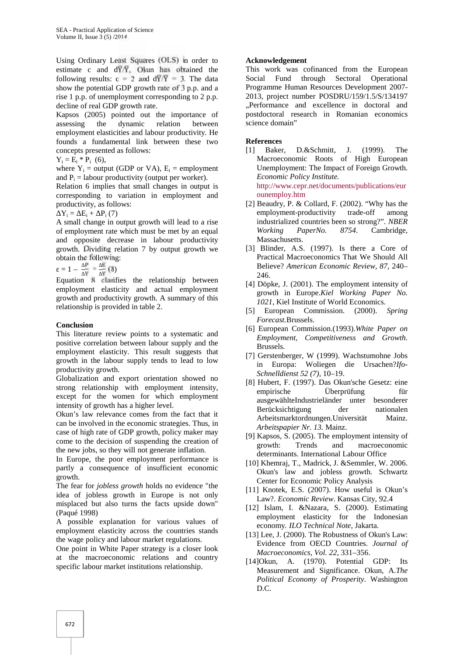Using Ordinary Least Squares (OLS) in order to estimate c and  $d\overline{Y}/\overline{Y}$ , Okun has obtained the following results:  $c = 2$  and  $d\overline{Y}/\overline{Y} = 3$ . The data show the potential GDP growth rate of 3 p.p. and a rise 1 p.p. of unemployment corresponding to 2 p.p. decline of real GDP growth rate.

Kapsos (2005) pointed out the importance of assessing the dynamic relation between employment elasticities and labour productivity. He founds a fundamental link between these two concepts presented as follows:

 $Y_i = E_i * P_i$  (6),

where  $Y_i$  = output (GDP or VA),  $E_i$  = employment and  $P_i$  = labour productivity (output per worker).

Relation 6 implies that small changes in output is corresponding to variation in employment and productivity, as follows:

 $Y_i = E_i + P_i(7)$ 

A small change in output growth will lead to a rise of employment rate which must be met by an equal and opposite decrease in labour productivity growth. Dividing relation 7 by output growth we obtain the following:

 $= 1 - \frac{1}{x} = \frac{1}{x}(8)$ 

Equation 8 clarifies the relationship between employment elasticity and actual employment growth and productivity growth. A summary of this relationship is provided in table 2.

## **Conclusion**

This literature review points to a systematic and positive correlation between labour supply and the employment elasticity. This result suggests that growth in the labour supply tends to lead to low productivity growth.

Globalization and export orientation showed no strong relationship with employment intensity, except for the women for which employment intensity of growth has a higher level.

Okun's law relevance comes from the fact that it can be involved in the economic strategies. Thus, in case of high rate of GDP growth, policy maker may come to the decision of suspending the creation of the new jobs, so they will not generate inflation.

In Europe, the poor employment performance is partly a consequence of insufficient economic growth.

The fear for *jobless growth* holds no evidence "the idea of jobless growth in Europe is not only misplaced but also turns the facts upside down" (Paqué 1998)

A possible explanation for various values of employment elasticity across the countries stands the wage policy and labour market regulations.

One point in White Paper strategy is a closer look at the macroeconomic relations and country specific labour market institutions relationship.

## **Acknowledgement**

This work was cofinanced from the European Social Fund through Sectoral Operational Programme Human Resources Development 2007- 2013, project number POSDRU/159/1.5/S/134197 "Performance and excellence in doctoral and postdoctoral research in Romanian economics science domain"

## **References**

- [1] Baker, D.&Schmitt, J. (1999). The Macroeconomic Roots of High European Unemployment: The Impact of Foreign Growth. *Economic Policy Institute.* http://www.cepr.net/documents/publications/eur ounemploy.htm
- [2] Beaudry, P. & Collard, F. (2002). "Why has the employment-productivity trade-off among industrialized countries been so strong?". *NBER Working PaperNo. 8754*. Cambridge, Massachusetts.
- [3] Blinder, A.S. (1997). Is there a Core of Practical Macroeconomics That We Should All Believe? *American Economic Review, 87*, 240– 246.
- [4] Döpke, J. (2001). The employment intensity of growth in Europe.*Kiel Working Paper No. 1021*, Kiel Institute of World Economics.
- [5] European Commission. (2000). *Spring Forecast.*Brussels.
- [6] European Commission.(1993).*White Paper on Employment, Competitiveness and Growth.* Brussels.
- [7] Gerstenberger, W (1999). Wachstumohne Jobs in Europa: Woliegen die Ursachen?*Ifo- Schnelldienst 52 (7),* 10–19.
- [8] Hubert, F. (1997). Das Okun'sche Gesetz: eine empirische Überprüfung für ausgewählteIndustrieländer unter besonderer Berücksichtigung der nationalen Arbeitsmarktordnungen.Universität Mainz. *Arbeitspapier Nr. 13.* Mainz.
- [9] Kapsos, S. (2005). The employment intensity of growth: Trends and macroeconomic determinants. International Labour Office
- [10] Khemraj, T., Madrick, J. &Semmler, W. 2006. Okun's law and jobless growth. Schwartz Center for Economic Policy Analysis
- [11] Knotek, E.S. (2007). How useful is Okun's Law?. *Economic Review*. Kansas City, 92.4
- [12] Islam, I. &Nazara, S. (2000). Estimating employment elasticity for the Indonesian economy*. ILO Technical Note*, Jakarta.
- [13] Lee, J. (2000). The Robustness of Okun's Law: Evidence from OECD Countries. *Journal of Macroeconomics, Vol. 22*, 331–356.
- [14]Okun, A. (1970). Potential GDP: Its Measurement and Significance. Okun, A.*The Political Economy of Prosperity*. Washington D.C.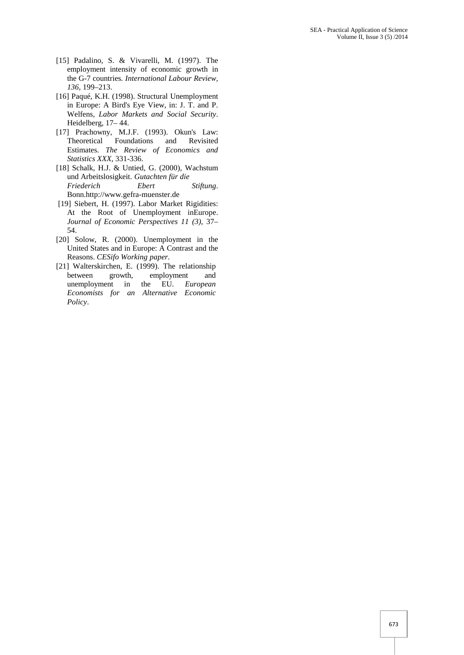- [15] Padalino, S. & Vivarelli, M. (1997). The employment intensity of economic growth in the G-7 countries*. International Labour Review, 136*, 199–213.
- [16] Paqué, K.H. (1998). Structural Unemployment in Europe: A Bird's Eye View, in: J. T. and P. Welfens, *Labor Markets and Social Security*. Heidelberg, 17– 44.
- [17] Prachowny, M.J.F. (1993). Okun's Law: Theoretical Foundations and Revisited Estimates. *The Review of Economics and Statistics XXX*, 331-336.
- [18] Schalk, H.J. & Untied, G. (2000), Wachstum und Arbeitslosigkeit. *Gutachten für die Friederich Ebert Stiftung*. Bonn.http://www.gefra-muenster.de
- [19] Siebert, H. (1997). Labor Market Rigidities: At the Root of Unemployment inEurope. *Journal of Economic Perspectives 11 (3)*, 37– 54.
- [20] Solow, R. (2000). Unemployment in the United States and in Europe: A Contrast and the Reasons. *CESifo Working paper*.
- [21] Walterskirchen, E. (1999). The relationship between growth, employment and unemployment in the EU. *European Economists for an Alternative Economic Policy*.